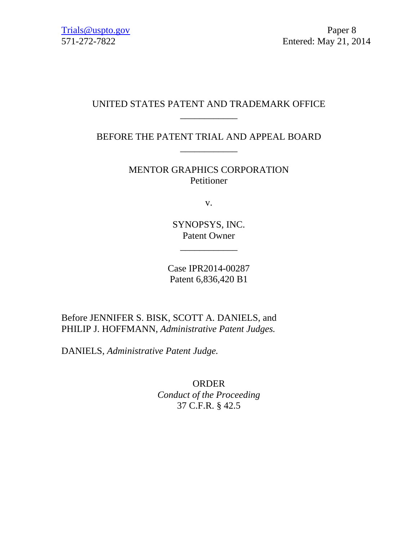## UNITED STATES PATENT AND TRADEMARK OFFICE \_\_\_\_\_\_\_\_\_\_\_\_

BEFORE THE PATENT TRIAL AND APPEAL BOARD \_\_\_\_\_\_\_\_\_\_\_\_

> MENTOR GRAPHICS CORPORATION Petitioner

> > v.

SYNOPSYS, INC. Patent Owner

\_\_\_\_\_\_\_\_\_\_\_\_

Case IPR2014-00287 Patent 6,836,420 B1

Before JENNIFER S. BISK, SCOTT A. DANIELS, and PHILIP J. HOFFMANN, *Administrative Patent Judges.*

DANIELS, *Administrative Patent Judge.* 

ORDER *Conduct of the Proceeding*  37 C.F.R. § 42.5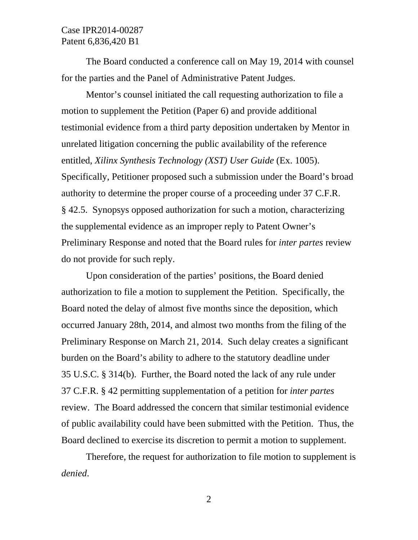The Board conducted a conference call on May 19, 2014 with counsel for the parties and the Panel of Administrative Patent Judges.

Mentor's counsel initiated the call requesting authorization to file a motion to supplement the Petition (Paper 6) and provide additional testimonial evidence from a third party deposition undertaken by Mentor in unrelated litigation concerning the public availability of the reference entitled, *Xilinx Synthesis Technology (XST) User Guide* (Ex. 1005). Specifically, Petitioner proposed such a submission under the Board's broad authority to determine the proper course of a proceeding under 37 C.F.R. § 42.5. Synopsys opposed authorization for such a motion, characterizing the supplemental evidence as an improper reply to Patent Owner's Preliminary Response and noted that the Board rules for *inter partes* review do not provide for such reply.

Upon consideration of the parties' positions, the Board denied authorization to file a motion to supplement the Petition. Specifically, the Board noted the delay of almost five months since the deposition, which occurred January 28th, 2014, and almost two months from the filing of the Preliminary Response on March 21, 2014. Such delay creates a significant burden on the Board's ability to adhere to the statutory deadline under 35 U.S.C. § 314(b). Further, the Board noted the lack of any rule under 37 C.F.R. § 42 permitting supplementation of a petition for *inter partes* review. The Board addressed the concern that similar testimonial evidence of public availability could have been submitted with the Petition. Thus, the Board declined to exercise its discretion to permit a motion to supplement.

Therefore, the request for authorization to file motion to supplement is *denied*.

2